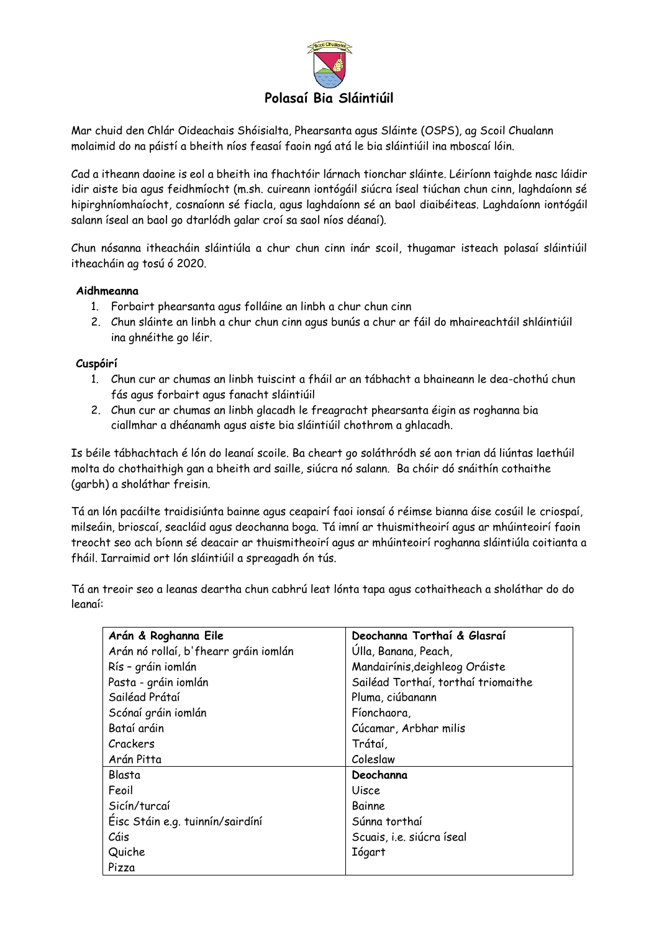

Mar chuid den Chlár Oideachais Shóisialta, Phearsanta agus Sláinte (OSPS), ag Scoil Chualann molaimid do na páistí a bheith níos feasaí faoin ngá atá le bia sláintiúil ina mboscaí lóin.

Cad a itheann daoine is eol a bheith ina fhachtóir lárnach tionchar sláinte. Léiríonn taighde nasc láidir idir aiste bia agus feidhmíocht (m.sh. cuireann iontógáil siúcra íseal tiúchan chun cinn, laghdaíonn sé hipirghníomhaíocht, cosnaíonn sé fiacla, agus laghdaíonn sé an baol diaibéiteas. Laghdaíonn iontógáil salann íseal an baol go dtarlódh galar croí sa saol níos déanaí).

Chun nósanna itheacháin sláintiúla a chur chun cinn inár scoil, thugamar isteach polasaí sláintiúil itheacháin ag tosú ó 2020.

## **Aidhmeanna**

- 1. Forbairt phearsanta agus folláine an linbh a chur chun cinn
- 2. Chun sláinte an linbh a chur chun cinn agus bunús a chur ar fáil do mhaireachtáil shláintiúil ina ghnéithe go léir.

## **Cuspóirí**

- 1. Chun cur ar chumas an linbh tuiscint a fháil ar an tábhacht a bhaineann le dea-chothú chun fás agus forbairt agus fanacht sláintiúil
- 2. Chun cur ar chumas an linbh glacadh le freagracht phearsanta éigin as roghanna bia ciallmhar a dhéanamh agus aiste bia sláintiúil chothrom a ghlacadh.

Is béile tábhachtach é lón do leanaí scoile. Ba cheart go soláthródh sé aon trian dá liúntas laethúil molta do chothaithigh gan a bheith ard saille, siúcra nó salann. Ba chóir dó snáithín cothaithe (garbh) a sholáthar freisin.

Tá an lón pacáilte traidisiúnta bainne agus ceapairí faoi ionsaí ó réimse bianna áise cosúil le criospaí, milseáin, brioscaí, seacláid agus deochanna boga. Tá imní ar thuismitheoirí agus ar mhúinteoirí faoin treocht seo ach bíonn sé deacair ar thuismitheoirí agus ar mhúinteoirí roghanna sláintiúla coitianta a fháil. Iarraimid ort lón sláintiúil a spreagadh ón tús.

Tá an treoir seo a leanas deartha chun cabhrú leat lónta tapa agus cothaitheach a sholáthar do do leanaí:

| Arán & Roghanna Eile                  | Deochanna Torthaí & Glasraí         |
|---------------------------------------|-------------------------------------|
| Arán nó rollaí, b'fhearr gráin iomlán | Úlla, Banana, Peach,                |
| Rís - gráin iomlán                    | Mandairínis, deighleog Oráiste      |
| Pasta - gráin iomlán                  | Sailéad Torthaí, torthaí triomaithe |
| Sailéad Prátaí                        | Pluma, ciúbanann                    |
| Scónaí gráin iomlán                   | Fíonchaora,                         |
| Bataí aráin                           | Cúcamar, Arbhar milis               |
| Crackers                              | Trátaí,                             |
| Arán Pitta                            | Coleslaw                            |
| Blasta                                | Deochanna                           |
| Feoil                                 | Uisce                               |
| Sicín/turcaí                          | Bainne                              |
| Éisc Stáin e.g. tuinnín/sairdíní      | Súnna torthaí                       |
| Cáis                                  | Scuais, i.e. siúcra íseal           |
| Quiche                                | <b>Iógart</b>                       |
| Pizza                                 |                                     |